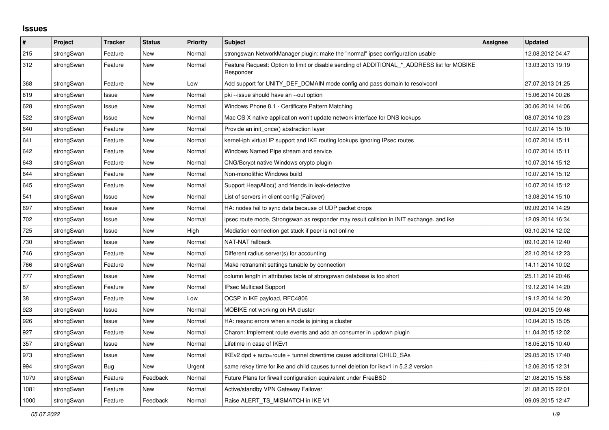## **Issues**

| #    | <b>Project</b> | <b>Tracker</b> | <b>Status</b> | <b>Priority</b> | <b>Subject</b>                                                                                           | Assignee | <b>Updated</b>   |
|------|----------------|----------------|---------------|-----------------|----------------------------------------------------------------------------------------------------------|----------|------------------|
| 215  | strongSwan     | Feature        | <b>New</b>    | Normal          | strongswan NetworkManager plugin: make the "normal" ipsec configuration usable                           |          | 12.08.2012 04:47 |
| 312  | strongSwan     | Feature        | <b>New</b>    | Normal          | Feature Request: Option to limit or disable sending of ADDITIONAL_*_ADDRESS list for MOBIKE<br>Responder |          | 13.03.2013 19:19 |
| 368  | strongSwan     | Feature        | New           | Low             | Add support for UNITY_DEF_DOMAIN mode config and pass domain to resolvconf                               |          | 27.07.2013 01:25 |
| 619  | strongSwan     | Issue          | New           | Normal          | pki --issue should have an --out option                                                                  |          | 15.06.2014 00:26 |
| 628  | strongSwan     | Issue          | New           | Normal          | Windows Phone 8.1 - Certificate Pattern Matching                                                         |          | 30.06.2014 14:06 |
| 522  | strongSwan     | Issue          | <b>New</b>    | Normal          | Mac OS X native application won't update network interface for DNS lookups                               |          | 08.07.2014 10:23 |
| 640  | strongSwan     | Feature        | New           | Normal          | Provide an init once() abstraction layer                                                                 |          | 10.07.2014 15:10 |
| 641  | strongSwan     | Feature        | New           | Normal          | kernel-iph virtual IP support and IKE routing lookups ignoring IPsec routes                              |          | 10.07.2014 15:11 |
| 642  | strongSwan     | Feature        | New           | Normal          | Windows Named Pipe stream and service                                                                    |          | 10.07.2014 15:11 |
| 643  | strongSwan     | Feature        | <b>New</b>    | Normal          | CNG/Bcrypt native Windows crypto plugin                                                                  |          | 10.07.2014 15:12 |
| 644  | strongSwan     | Feature        | New           | Normal          | Non-monolithic Windows build                                                                             |          | 10.07.2014 15:12 |
| 645  | strongSwan     | Feature        | New           | Normal          | Support HeapAlloc() and friends in leak-detective                                                        |          | 10.07.2014 15:12 |
| 541  | strongSwan     | Issue          | New           | Normal          | List of servers in client config (Failover)                                                              |          | 13.08.2014 15:10 |
| 697  | strongSwan     | Issue          | New           | Normal          | HA: nodes fail to sync data because of UDP packet drops                                                  |          | 09.09.2014 14:29 |
| 702  | strongSwan     | Issue          | New           | Normal          | ipsec route mode, Strongswan as responder may result collsion in INIT exchange, and ike                  |          | 12.09.2014 16:34 |
| 725  | strongSwan     | Issue          | New           | High            | Mediation connection get stuck if peer is not online                                                     |          | 03.10.2014 12:02 |
| 730  | strongSwan     | Issue          | <b>New</b>    | Normal          | NAT-NAT fallback                                                                                         |          | 09.10.2014 12:40 |
| 746  | strongSwan     | Feature        | New           | Normal          | Different radius server(s) for accounting                                                                |          | 22.10.2014 12:23 |
| 766  | strongSwan     | Feature        | New           | Normal          | Make retransmit settings tunable by connection                                                           |          | 14.11.2014 10:02 |
| 777  | strongSwan     | Issue          | New           | Normal          | column length in attributes table of strongswan database is too short                                    |          | 25.11.2014 20:46 |
| 87   | strongSwan     | Feature        | <b>New</b>    | Normal          | IPsec Multicast Support                                                                                  |          | 19.12.2014 14:20 |
| 38   | strongSwan     | Feature        | New           | Low             | OCSP in IKE payload, RFC4806                                                                             |          | 19.12.2014 14:20 |
| 923  | strongSwan     | Issue          | New           | Normal          | MOBIKE not working on HA cluster                                                                         |          | 09.04.2015 09:46 |
| 926  | strongSwan     | Issue          | New           | Normal          | HA: resync errors when a node is joining a cluster                                                       |          | 10.04.2015 15:05 |
| 927  | strongSwan     | Feature        | New           | Normal          | Charon: Implement route events and add an consumer in updown plugin                                      |          | 11.04.2015 12:02 |
| 357  | strongSwan     | Issue          | New           | Normal          | Lifetime in case of IKEv1                                                                                |          | 18.05.2015 10:40 |
| 973  | strongSwan     | Issue          | <b>New</b>    | Normal          | IKEv2 dpd + auto=route + tunnel downtime cause additional CHILD SAs                                      |          | 29.05.2015 17:40 |
| 994  | strongSwan     | <b>Bug</b>     | New           | Urgent          | same rekey time for ike and child causes tunnel deletion for ikev1 in 5.2.2 version                      |          | 12.06.2015 12:31 |
| 1079 | strongSwan     | Feature        | Feedback      | Normal          | Future Plans for firwall configuration equivalent under FreeBSD                                          |          | 21.08.2015 15:58 |
| 1081 | strongSwan     | Feature        | New           | Normal          | Active/standby VPN Gateway Failover                                                                      |          | 21.08.2015 22:01 |
| 1000 | strongSwan     | Feature        | Feedback      | Normal          | Raise ALERT TS MISMATCH in IKE V1                                                                        |          | 09.09.2015 12:47 |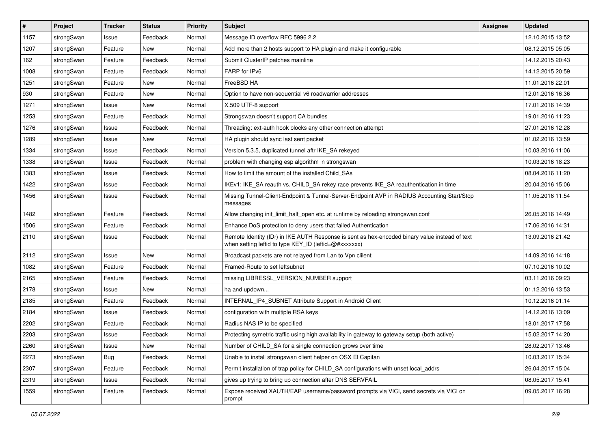| $\sharp$ | Project    | <b>Tracker</b> | <b>Status</b> | <b>Priority</b> | <b>Subject</b>                                                                                                                                          | Assignee | <b>Updated</b>   |
|----------|------------|----------------|---------------|-----------------|---------------------------------------------------------------------------------------------------------------------------------------------------------|----------|------------------|
| 1157     | strongSwan | Issue          | Feedback      | Normal          | Message ID overflow RFC 5996 2.2                                                                                                                        |          | 12.10.2015 13:52 |
| 1207     | strongSwan | Feature        | New           | Normal          | Add more than 2 hosts support to HA plugin and make it configurable                                                                                     |          | 08.12.2015 05:05 |
| 162      | strongSwan | Feature        | Feedback      | Normal          | Submit ClusterIP patches mainline                                                                                                                       |          | 14.12.2015 20:43 |
| 1008     | strongSwan | Feature        | Feedback      | Normal          | FARP for IPv6                                                                                                                                           |          | 14.12.2015 20:59 |
| 1251     | strongSwan | Feature        | New           | Normal          | FreeBSD HA                                                                                                                                              |          | 11.01.2016 22:01 |
| 930      | strongSwan | Feature        | New           | Normal          | Option to have non-sequential v6 roadwarrior addresses                                                                                                  |          | 12.01.2016 16:36 |
| 1271     | strongSwan | Issue          | New           | Normal          | X.509 UTF-8 support                                                                                                                                     |          | 17.01.2016 14:39 |
| 1253     | strongSwan | Feature        | Feedback      | Normal          | Strongswan doesn't support CA bundles                                                                                                                   |          | 19.01.2016 11:23 |
| 1276     | strongSwan | Issue          | Feedback      | Normal          | Threading: ext-auth hook blocks any other connection attempt                                                                                            |          | 27.01.2016 12:28 |
| 1289     | strongSwan | Issue          | New           | Normal          | HA plugin should sync last sent packet                                                                                                                  |          | 01.02.2016 13:59 |
| 1334     | strongSwan | Issue          | Feedback      | Normal          | Version 5.3.5, duplicated tunnel aftr IKE_SA rekeyed                                                                                                    |          | 10.03.2016 11:06 |
| 1338     | strongSwan | Issue          | Feedback      | Normal          | problem with changing esp algorithm in strongswan                                                                                                       |          | 10.03.2016 18:23 |
| 1383     | strongSwan | Issue          | Feedback      | Normal          | How to limit the amount of the installed Child_SAs                                                                                                      |          | 08.04.2016 11:20 |
| 1422     | strongSwan | Issue          | Feedback      | Normal          | IKEv1: IKE_SA reauth vs. CHILD_SA rekey race prevents IKE_SA reauthentication in time                                                                   |          | 20.04.2016 15:06 |
| 1456     | strongSwan | Issue          | Feedback      | Normal          | Missing Tunnel-Client-Endpoint & Tunnel-Server-Endpoint AVP in RADIUS Accounting Start/Stop<br>messages                                                 |          | 11.05.2016 11:54 |
| 1482     | strongSwan | Feature        | Feedback      | Normal          | Allow changing init_limit_half_open etc. at runtime by reloading strongswan.conf                                                                        |          | 26.05.2016 14:49 |
| 1506     | strongSwan | Feature        | Feedback      | Normal          | Enhance DoS protection to deny users that failed Authentication                                                                                         |          | 17.06.2016 14:31 |
| 2110     | strongSwan | Issue          | Feedback      | Normal          | Remote Identity (IDr) in IKE AUTH Response is sent as hex-encoded binary value instead of text<br>when setting leftid to type KEY_ID (leftid=@#xxxxxxx) |          | 13.09.2016 21:42 |
| 2112     | strongSwan | Issue          | New           | Normal          | Broadcast packets are not relayed from Lan to Vpn clilent                                                                                               |          | 14.09.2016 14:18 |
| 1082     | strongSwan | Feature        | Feedback      | Normal          | Framed-Route to set leftsubnet                                                                                                                          |          | 07.10.2016 10:02 |
| 2165     | strongSwan | Feature        | Feedback      | Normal          | missing LIBRESSL_VERSION_NUMBER support                                                                                                                 |          | 03.11.2016 09:23 |
| 2178     | strongSwan | Issue          | New           | Normal          | ha and updown                                                                                                                                           |          | 01.12.2016 13:53 |
| 2185     | strongSwan | Feature        | Feedback      | Normal          | INTERNAL_IP4_SUBNET Attribute Support in Android Client                                                                                                 |          | 10.12.2016 01:14 |
| 2184     | strongSwan | Issue          | Feedback      | Normal          | configuration with multiple RSA keys                                                                                                                    |          | 14.12.2016 13:09 |
| 2202     | strongSwan | Feature        | Feedback      | Normal          | Radius NAS IP to be specified                                                                                                                           |          | 18.01.2017 17:58 |
| 2203     | strongSwan | Issue          | Feedback      | Normal          | Protecting symetric traffic using high availability in gateway to gateway setup (both active)                                                           |          | 15.02.2017 14:20 |
| 2260     | strongSwan | Issue          | New           | Normal          | Number of CHILD_SA for a single connection grows over time                                                                                              |          | 28.02.2017 13:46 |
| 2273     | strongSwan | Bug            | Feedback      | Normal          | Unable to install strongswan client helper on OSX El Capitan                                                                                            |          | 10.03.2017 15:34 |
| 2307     | strongSwan | Feature        | Feedback      | Normal          | Permit installation of trap policy for CHILD_SA configurations with unset local_addrs                                                                   |          | 26.04.2017 15:04 |
| 2319     | strongSwan | Issue          | Feedback      | Normal          | gives up trying to bring up connection after DNS SERVFAIL                                                                                               |          | 08.05.2017 15:41 |
| 1559     | strongSwan | Feature        | Feedback      | Normal          | Expose received XAUTH/EAP username/password prompts via VICI, send secrets via VICI on<br>prompt                                                        |          | 09.05.2017 16:28 |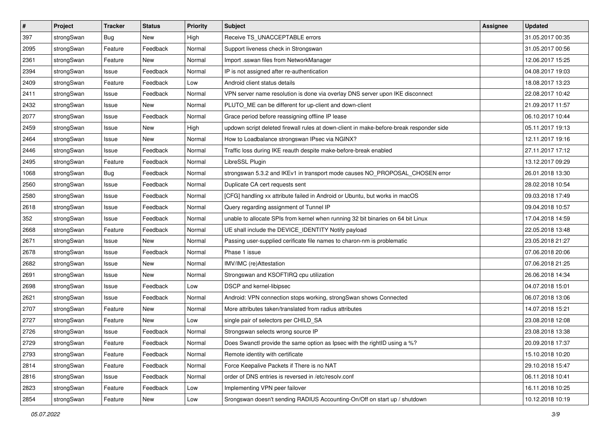| $\pmb{\#}$ | Project    | <b>Tracker</b> | <b>Status</b> | <b>Priority</b> | <b>Subject</b>                                                                          | <b>Assignee</b> | <b>Updated</b>   |
|------------|------------|----------------|---------------|-----------------|-----------------------------------------------------------------------------------------|-----------------|------------------|
| 397        | strongSwan | Bug            | New           | High            | Receive TS_UNACCEPTABLE errors                                                          |                 | 31.05.2017 00:35 |
| 2095       | strongSwan | Feature        | Feedback      | Normal          | Support liveness check in Strongswan                                                    |                 | 31.05.2017 00:56 |
| 2361       | strongSwan | Feature        | New           | Normal          | Import .sswan files from NetworkManager                                                 |                 | 12.06.2017 15:25 |
| 2394       | strongSwan | Issue          | Feedback      | Normal          | IP is not assigned after re-authentication                                              |                 | 04.08.2017 19:03 |
| 2409       | strongSwan | Feature        | Feedback      | Low             | Android client status details                                                           |                 | 18.08.2017 13:23 |
| 2411       | strongSwan | Issue          | Feedback      | Normal          | VPN server name resolution is done via overlay DNS server upon IKE disconnect           |                 | 22.08.2017 10:42 |
| 2432       | strongSwan | Issue          | New           | Normal          | PLUTO_ME can be different for up-client and down-client                                 |                 | 21.09.2017 11:57 |
| 2077       | strongSwan | Issue          | Feedback      | Normal          | Grace period before reassigning offline IP lease                                        |                 | 06.10.2017 10:44 |
| 2459       | strongSwan | Issue          | New           | High            | updown script deleted firewall rules at down-client in make-before-break responder side |                 | 05.11.2017 19:13 |
| 2464       | strongSwan | Issue          | New           | Normal          | How to Loadbalance strongswan IPsec via NGINX?                                          |                 | 12.11.2017 19:16 |
| 2446       | strongSwan | Issue          | Feedback      | Normal          | Traffic loss during IKE reauth despite make-before-break enabled                        |                 | 27.11.2017 17:12 |
| 2495       | strongSwan | Feature        | Feedback      | Normal          | LibreSSL Plugin                                                                         |                 | 13.12.2017 09:29 |
| 1068       | strongSwan | Bug            | Feedback      | Normal          | strongswan 5.3.2 and IKEv1 in transport mode causes NO_PROPOSAL_CHOSEN error            |                 | 26.01.2018 13:30 |
| 2560       | strongSwan | Issue          | Feedback      | Normal          | Duplicate CA cert requests sent                                                         |                 | 28.02.2018 10:54 |
| 2580       | strongSwan | Issue          | Feedback      | Normal          | [CFG] handling xx attribute failed in Android or Ubuntu, but works in macOS             |                 | 09.03.2018 17:49 |
| 2618       | strongSwan | Issue          | Feedback      | Normal          | Query regarding assignment of Tunnel IP                                                 |                 | 09.04.2018 10:57 |
| 352        | strongSwan | Issue          | Feedback      | Normal          | unable to allocate SPIs from kernel when running 32 bit binaries on 64 bit Linux        |                 | 17.04.2018 14:59 |
| 2668       | strongSwan | Feature        | Feedback      | Normal          | UE shall include the DEVICE_IDENTITY Notify payload                                     |                 | 22.05.2018 13:48 |
| 2671       | strongSwan | Issue          | New           | Normal          | Passing user-supplied cerificate file names to charon-nm is problematic                 |                 | 23.05.2018 21:27 |
| 2678       | strongSwan | Issue          | Feedback      | Normal          | Phase 1 issue                                                                           |                 | 07.06.2018 20:06 |
| 2682       | strongSwan | Issue          | New           | Normal          | IMV/IMC (re)Attestation                                                                 |                 | 07.06.2018 21:25 |
| 2691       | strongSwan | Issue          | New           | Normal          | Strongswan and KSOFTIRQ cpu utilization                                                 |                 | 26.06.2018 14:34 |
| 2698       | strongSwan | Issue          | Feedback      | Low             | DSCP and kernel-libipsec                                                                |                 | 04.07.2018 15:01 |
| 2621       | strongSwan | Issue          | Feedback      | Normal          | Android: VPN connection stops working, strongSwan shows Connected                       |                 | 06.07.2018 13:06 |
| 2707       | strongSwan | Feature        | New           | Normal          | More attributes taken/translated from radius attributes                                 |                 | 14.07.2018 15:21 |
| 2727       | strongSwan | Feature        | New           | Low             | single pair of selectors per CHILD_SA                                                   |                 | 23.08.2018 12:08 |
| 2726       | strongSwan | Issue          | Feedback      | Normal          | Strongswan selects wrong source IP                                                      |                 | 23.08.2018 13:38 |
| 2729       | strongSwan | Feature        | Feedback      | Normal          | Does Swanctl provide the same option as Ipsec with the rightID using a %?               |                 | 20.09.2018 17:37 |
| 2793       | strongSwan | Feature        | Feedback      | Normal          | Remote identity with certificate                                                        |                 | 15.10.2018 10:20 |
| 2814       | strongSwan | Feature        | Feedback      | Normal          | Force Keepalive Packets if There is no NAT                                              |                 | 29.10.2018 15:47 |
| 2816       | strongSwan | Issue          | Feedback      | Normal          | order of DNS entries is reversed in /etc/resolv.conf                                    |                 | 06.11.2018 10:41 |
| 2823       | strongSwan | Feature        | Feedback      | Low             | Implementing VPN peer failover                                                          |                 | 16.11.2018 10:25 |
| 2854       | strongSwan | Feature        | New           | Low             | Srongswan doesn't sending RADIUS Accounting-On/Off on start up / shutdown               |                 | 10.12.2018 10:19 |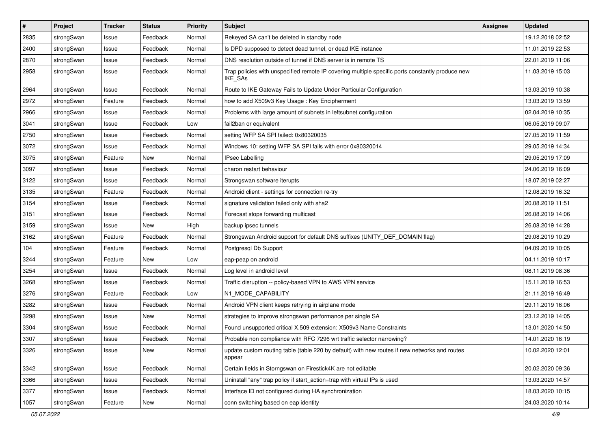| $\sharp$ | Project    | <b>Tracker</b> | <b>Status</b> | <b>Priority</b> | <b>Subject</b>                                                                                              | <b>Assignee</b> | <b>Updated</b>   |
|----------|------------|----------------|---------------|-----------------|-------------------------------------------------------------------------------------------------------------|-----------------|------------------|
| 2835     | strongSwan | Issue          | Feedback      | Normal          | Rekeyed SA can't be deleted in standby node                                                                 |                 | 19.12.2018 02:52 |
| 2400     | strongSwan | Issue          | Feedback      | Normal          | Is DPD supposed to detect dead tunnel, or dead IKE instance                                                 |                 | 11.01.2019 22:53 |
| 2870     | strongSwan | Issue          | Feedback      | Normal          | DNS resolution outside of tunnel if DNS server is in remote TS                                              |                 | 22.01.2019 11:06 |
| 2958     | strongSwan | Issue          | Feedback      | Normal          | Trap policies with unspecified remote IP covering multiple specific ports constantly produce new<br>IKE_SAs |                 | 11.03.2019 15:03 |
| 2964     | strongSwan | Issue          | Feedback      | Normal          | Route to IKE Gateway Fails to Update Under Particular Configuration                                         |                 | 13.03.2019 10:38 |
| 2972     | strongSwan | Feature        | Feedback      | Normal          | how to add X509v3 Key Usage: Key Encipherment                                                               |                 | 13.03.2019 13:59 |
| 2966     | strongSwan | Issue          | Feedback      | Normal          | Problems with large amount of subnets in leftsubnet configuration                                           |                 | 02.04.2019 10:35 |
| 3041     | strongSwan | Issue          | Feedback      | Low             | fail2ban or equivalent                                                                                      |                 | 06.05.2019 09:07 |
| 2750     | strongSwan | Issue          | Feedback      | Normal          | setting WFP SA SPI failed: 0x80320035                                                                       |                 | 27.05.2019 11:59 |
| 3072     | strongSwan | Issue          | Feedback      | Normal          | Windows 10: setting WFP SA SPI fails with error 0x80320014                                                  |                 | 29.05.2019 14:34 |
| 3075     | strongSwan | Feature        | New           | Normal          | <b>IPsec Labelling</b>                                                                                      |                 | 29.05.2019 17:09 |
| 3097     | strongSwan | Issue          | Feedback      | Normal          | charon restart behaviour                                                                                    |                 | 24.06.2019 16:09 |
| 3122     | strongSwan | Issue          | Feedback      | Normal          | Strongswan software iterupts                                                                                |                 | 18.07.2019 02:27 |
| 3135     | strongSwan | Feature        | Feedback      | Normal          | Android client - settings for connection re-try                                                             |                 | 12.08.2019 16:32 |
| 3154     | strongSwan | Issue          | Feedback      | Normal          | signature validation failed only with sha2                                                                  |                 | 20.08.2019 11:51 |
| 3151     | strongSwan | Issue          | Feedback      | Normal          | Forecast stops forwarding multicast                                                                         |                 | 26.08.2019 14:06 |
| 3159     | strongSwan | Issue          | New           | High            | backup ipsec tunnels                                                                                        |                 | 26.08.2019 14:28 |
| 3162     | strongSwan | Feature        | Feedback      | Normal          | Strongswan Android support for default DNS suffixes (UNITY_DEF_DOMAIN flag)                                 |                 | 29.08.2019 10:29 |
| 104      | strongSwan | Feature        | Feedback      | Normal          | Postgresql Db Support                                                                                       |                 | 04.09.2019 10:05 |
| 3244     | strongSwan | Feature        | <b>New</b>    | Low             | eap-peap on android                                                                                         |                 | 04.11.2019 10:17 |
| 3254     | strongSwan | Issue          | Feedback      | Normal          | Log level in android level                                                                                  |                 | 08.11.2019 08:36 |
| 3268     | strongSwan | Issue          | Feedback      | Normal          | Traffic disruption -- policy-based VPN to AWS VPN service                                                   |                 | 15.11.2019 16:53 |
| 3276     | strongSwan | Feature        | Feedback      | Low             | N1_MODE_CAPABILITY                                                                                          |                 | 21.11.2019 16:49 |
| 3282     | strongSwan | Issue          | Feedback      | Normal          | Android VPN client keeps retrying in airplane mode                                                          |                 | 29.11.2019 16:06 |
| 3298     | strongSwan | Issue          | <b>New</b>    | Normal          | strategies to improve strongswan performance per single SA                                                  |                 | 23.12.2019 14:05 |
| 3304     | strongSwan | Issue          | Feedback      | Normal          | Found unsupported critical X.509 extension: X509v3 Name Constraints                                         |                 | 13.01.2020 14:50 |
| 3307     | strongSwan | Issue          | Feedback      | Normal          | Probable non compliance with RFC 7296 wrt traffic selector narrowing?                                       |                 | 14.01.2020 16:19 |
| 3326     | strongSwan | Issue          | New           | Normal          | update custom routing table (table 220 by default) with new routes if new networks and routes<br>appear     |                 | 10.02.2020 12:01 |
| 3342     | strongSwan | Issue          | Feedback      | Normal          | Certain fields in Storngswan on Firestick4K are not editable                                                |                 | 20.02.2020 09:36 |
| 3366     | strongSwan | Issue          | Feedback      | Normal          | Uninstall "any" trap policy if start_action=trap with virtual IPs is used                                   |                 | 13.03.2020 14:57 |
| 3377     | strongSwan | Issue          | Feedback      | Normal          | Interface ID not configured during HA synchronization                                                       |                 | 18.03.2020 10:15 |
| 1057     | strongSwan | Feature        | New           | Normal          | conn switching based on eap identity                                                                        |                 | 24.03.2020 10:14 |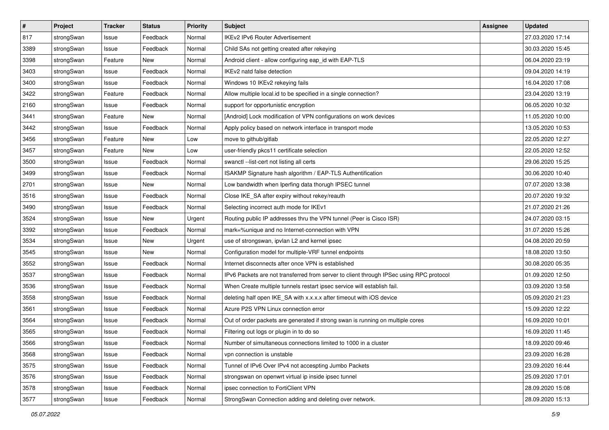| $\pmb{\#}$ | Project    | <b>Tracker</b> | <b>Status</b> | <b>Priority</b> | <b>Subject</b>                                                                          | Assignee | <b>Updated</b>   |
|------------|------------|----------------|---------------|-----------------|-----------------------------------------------------------------------------------------|----------|------------------|
| 817        | strongSwan | Issue          | Feedback      | Normal          | IKEv2 IPv6 Router Advertisement                                                         |          | 27.03.2020 17:14 |
| 3389       | strongSwan | Issue          | Feedback      | Normal          | Child SAs not getting created after rekeying                                            |          | 30.03.2020 15:45 |
| 3398       | strongSwan | Feature        | New           | Normal          | Android client - allow configuring eap_id with EAP-TLS                                  |          | 06.04.2020 23:19 |
| 3403       | strongSwan | Issue          | Feedback      | Normal          | IKEv2 natd false detection                                                              |          | 09.04.2020 14:19 |
| 3400       | strongSwan | Issue          | Feedback      | Normal          | Windows 10 IKEv2 rekeying fails                                                         |          | 16.04.2020 17:08 |
| 3422       | strongSwan | Feature        | Feedback      | Normal          | Allow multiple local.id to be specified in a single connection?                         |          | 23.04.2020 13:19 |
| 2160       | strongSwan | Issue          | Feedback      | Normal          | support for opportunistic encryption                                                    |          | 06.05.2020 10:32 |
| 3441       | strongSwan | Feature        | New           | Normal          | [Android] Lock modification of VPN configurations on work devices                       |          | 11.05.2020 10:00 |
| 3442       | strongSwan | Issue          | Feedback      | Normal          | Apply policy based on network interface in transport mode                               |          | 13.05.2020 10:53 |
| 3456       | strongSwan | Feature        | New           | Low             | move to github/gitlab                                                                   |          | 22.05.2020 12:27 |
| 3457       | strongSwan | Feature        | New           | Low             | user-friendly pkcs11 certificate selection                                              |          | 22.05.2020 12:52 |
| 3500       | strongSwan | Issue          | Feedback      | Normal          | swanctl --list-cert not listing all certs                                               |          | 29.06.2020 15:25 |
| 3499       | strongSwan | Issue          | Feedback      | Normal          | ISAKMP Signature hash algorithm / EAP-TLS Authentification                              |          | 30.06.2020 10:40 |
| 2701       | strongSwan | Issue          | New           | Normal          | Low bandwidth when Iperfing data thorugh IPSEC tunnel                                   |          | 07.07.2020 13:38 |
| 3516       | strongSwan | Issue          | Feedback      | Normal          | Close IKE_SA after expiry without rekey/reauth                                          |          | 20.07.2020 19:32 |
| 3490       | strongSwan | Issue          | Feedback      | Normal          | Selecting incorrect auth mode for IKEv1                                                 |          | 21.07.2020 21:26 |
| 3524       | strongSwan | Issue          | New           | Urgent          | Routing public IP addresses thru the VPN tunnel (Peer is Cisco ISR)                     |          | 24.07.2020 03:15 |
| 3392       | strongSwan | Issue          | Feedback      | Normal          | mark=%unique and no Internet-connection with VPN                                        |          | 31.07.2020 15:26 |
| 3534       | strongSwan | Issue          | New           | Urgent          | use of strongswan, ipvlan L2 and kernel ipsec                                           |          | 04.08.2020 20:59 |
| 3545       | strongSwan | Issue          | New           | Normal          | Configuration model for multiple-VRF tunnel endpoints                                   |          | 18.08.2020 13:50 |
| 3552       | strongSwan | Issue          | Feedback      | Normal          | Internet disconnects after once VPN is established                                      |          | 30.08.2020 05:35 |
| 3537       | strongSwan | Issue          | Feedback      | Normal          | IPv6 Packets are not transferred from server to client through IPSec using RPC protocol |          | 01.09.2020 12:50 |
| 3536       | strongSwan | Issue          | Feedback      | Normal          | When Create multiple tunnels restart ipsec service will establish fail.                 |          | 03.09.2020 13:58 |
| 3558       | strongSwan | Issue          | Feedback      | Normal          | deleting half open IKE_SA with x.x.x.x after timeout with iOS device                    |          | 05.09.2020 21:23 |
| 3561       | strongSwan | Issue          | Feedback      | Normal          | Azure P2S VPN Linux connection error                                                    |          | 15.09.2020 12:22 |
| 3564       | strongSwan | Issue          | Feedback      | Normal          | Out of order packets are generated if strong swan is running on multiple cores          |          | 16.09.2020 10:01 |
| 3565       | strongSwan | Issue          | Feedback      | Normal          | Filtering out logs or plugin in to do so                                                |          | 16.09.2020 11:45 |
| 3566       | strongSwan | Issue          | Feedback      | Normal          | Number of simultaneous connections limited to 1000 in a cluster                         |          | 18.09.2020 09:46 |
| 3568       | strongSwan | Issue          | Feedback      | Normal          | vpn connection is unstable                                                              |          | 23.09.2020 16:28 |
| 3575       | strongSwan | Issue          | Feedback      | Normal          | Tunnel of IPv6 Over IPv4 not accespting Jumbo Packets                                   |          | 23.09.2020 16:44 |
| 3576       | strongSwan | Issue          | Feedback      | Normal          | strongswan on openwrt virtual ip inside ipsec tunnel                                    |          | 25.09.2020 17:01 |
| 3578       | strongSwan | Issue          | Feedback      | Normal          | ipsec connection to FortiClient VPN                                                     |          | 28.09.2020 15:08 |
| 3577       | strongSwan | Issue          | Feedback      | Normal          | StrongSwan Connection adding and deleting over network.                                 |          | 28.09.2020 15:13 |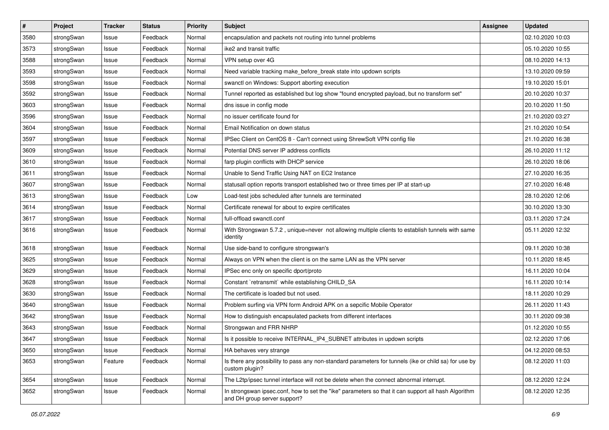| $\pmb{\#}$ | Project    | <b>Tracker</b> | <b>Status</b> | <b>Priority</b> | <b>Subject</b>                                                                                                                      | Assignee | <b>Updated</b>   |
|------------|------------|----------------|---------------|-----------------|-------------------------------------------------------------------------------------------------------------------------------------|----------|------------------|
| 3580       | strongSwan | Issue          | Feedback      | Normal          | encapsulation and packets not routing into tunnel problems                                                                          |          | 02.10.2020 10:03 |
| 3573       | strongSwan | Issue          | Feedback      | Normal          | ike2 and transit traffic                                                                                                            |          | 05.10.2020 10:55 |
| 3588       | strongSwan | Issue          | Feedback      | Normal          | VPN setup over 4G                                                                                                                   |          | 08.10.2020 14:13 |
| 3593       | strongSwan | lssue          | Feedback      | Normal          | Need variable tracking make_before_break state into updown scripts                                                                  |          | 13.10.2020 09:59 |
| 3598       | strongSwan | Issue          | Feedback      | Normal          | swanctl on Windows: Support aborting execution                                                                                      |          | 19.10.2020 15:01 |
| 3592       | strongSwan | Issue          | Feedback      | Normal          | Tunnel reported as established but log show "found encrypted payload, but no transform set"                                         |          | 20.10.2020 10:37 |
| 3603       | strongSwan | Issue          | Feedback      | Normal          | dns issue in config mode                                                                                                            |          | 20.10.2020 11:50 |
| 3596       | strongSwan | Issue          | Feedback      | Normal          | no issuer certificate found for                                                                                                     |          | 21.10.2020 03:27 |
| 3604       | strongSwan | Issue          | Feedback      | Normal          | Email Notification on down status                                                                                                   |          | 21.10.2020 10:54 |
| 3597       | strongSwan | Issue          | Feedback      | Normal          | IPSec Client on CentOS 8 - Can't connect using ShrewSoft VPN config file                                                            |          | 21.10.2020 16:38 |
| 3609       | strongSwan | Issue          | Feedback      | Normal          | Potential DNS server IP address conflicts                                                                                           |          | 26.10.2020 11:12 |
| 3610       | strongSwan | Issue          | Feedback      | Normal          | farp plugin conflicts with DHCP service                                                                                             |          | 26.10.2020 18:06 |
| 3611       | strongSwan | Issue          | Feedback      | Normal          | Unable to Send Traffic Using NAT on EC2 Instance                                                                                    |          | 27.10.2020 16:35 |
| 3607       | strongSwan | lssue          | Feedback      | Normal          | statusall option reports transport established two or three times per IP at start-up                                                |          | 27.10.2020 16:48 |
| 3613       | strongSwan | Issue          | Feedback      | Low             | Load-test jobs scheduled after tunnels are terminated                                                                               |          | 28.10.2020 12:06 |
| 3614       | strongSwan | Issue          | Feedback      | Normal          | Certificate renewal for about to expire certificates                                                                                |          | 30.10.2020 13:30 |
| 3617       | strongSwan | lssue          | Feedback      | Normal          | full-offload swanctl.conf                                                                                                           |          | 03.11.2020 17:24 |
| 3616       | strongSwan | Issue          | Feedback      | Normal          | With Strongswan 5.7.2, unique=never not allowing multiple clients to establish tunnels with same<br>identity                        |          | 05.11.2020 12:32 |
| 3618       | strongSwan | lssue          | Feedback      | Normal          | Use side-band to configure strongswan's                                                                                             |          | 09.11.2020 10:38 |
| 3625       | strongSwan | lssue          | Feedback      | Normal          | Always on VPN when the client is on the same LAN as the VPN server                                                                  |          | 10.11.2020 18:45 |
| 3629       | strongSwan | lssue          | Feedback      | Normal          | IPSec enc only on specific dport/proto                                                                                              |          | 16.11.2020 10:04 |
| 3628       | strongSwan | Issue          | Feedback      | Normal          | Constant `retransmit` while establishing CHILD_SA                                                                                   |          | 16.11.2020 10:14 |
| 3630       | strongSwan | Issue          | Feedback      | Normal          | The certificate is loaded but not used.                                                                                             |          | 18.11.2020 10:29 |
| 3640       | strongSwan | Issue          | Feedback      | Normal          | Problem surfing via VPN form Android APK on a sepcific Mobile Operator                                                              |          | 26.11.2020 11:43 |
| 3642       | strongSwan | Issue          | Feedback      | Normal          | How to distinguish encapsulated packets from different interfaces                                                                   |          | 30.11.2020 09:38 |
| 3643       | strongSwan | lssue          | Feedback      | Normal          | Strongswan and FRR NHRP                                                                                                             |          | 01.12.2020 10:55 |
| 3647       | strongSwan | Issue          | Feedback      | Normal          | Is it possible to receive INTERNAL_IP4_SUBNET attributes in updown scripts                                                          |          | 02.12.2020 17:06 |
| 3650       | strongSwan | Issue          | Feedback      | Normal          | HA behaves very strange                                                                                                             |          | 04.12.2020 08:53 |
| 3653       | strongSwan | Feature        | Feedback      | Normal          | Is there any possibility to pass any non-standard parameters for tunnels (ike or child sa) for use by<br>custom plugin?             |          | 08.12.2020 11:03 |
| 3654       | strongSwan | Issue          | Feedback      | Normal          | The L2tp/ipsec tunnel interface will not be delete when the connect abnormal interrupt.                                             |          | 08.12.2020 12:24 |
| 3652       | strongSwan | Issue          | Feedback      | Normal          | In strongswan ipsec.conf, how to set the "ike" parameters so that it can support all hash Algorithm<br>and DH group server support? |          | 08.12.2020 12:35 |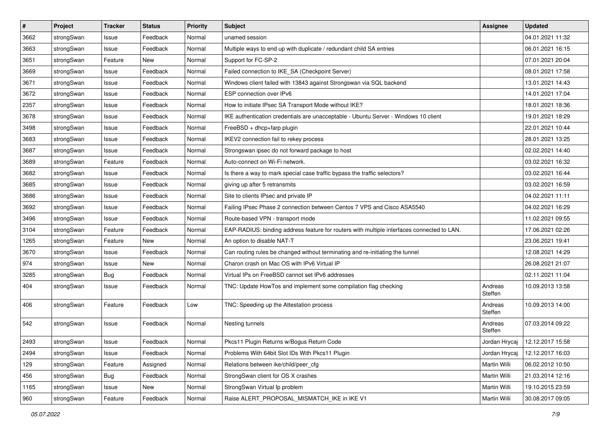| $\pmb{\#}$ | Project    | <b>Tracker</b> | <b>Status</b> | <b>Priority</b> | <b>Subject</b>                                                                             | <b>Assignee</b>    | <b>Updated</b>                   |
|------------|------------|----------------|---------------|-----------------|--------------------------------------------------------------------------------------------|--------------------|----------------------------------|
| 3662       | strongSwan | Issue          | Feedback      | Normal          | unamed session                                                                             |                    | 04.01.2021 11:32                 |
| 3663       | strongSwan | Issue          | Feedback      | Normal          | Multiple ways to end up with duplicate / redundant child SA entries                        |                    | 06.01.2021 16:15                 |
| 3651       | strongSwan | Feature        | New           | Normal          | Support for FC-SP-2                                                                        |                    | 07.01.2021 20:04                 |
| 3669       | strongSwan | Issue          | Feedback      | Normal          | Failed connection to IKE_SA (Checkpoint Server)                                            |                    | 08.01.2021 17:58                 |
| 3671       | strongSwan | Issue          | Feedback      | Normal          | Windows client failed with 13843 against Strongswan via SQL backend                        |                    | 13.01.2021 14:43                 |
| 3672       | strongSwan | Issue          | Feedback      | Normal          | ESP connection over IPv6                                                                   |                    | 14.01.2021 17:04                 |
| 2357       | strongSwan | Issue          | Feedback      | Normal          | How to initiate IPsec SA Transport Mode without IKE?                                       |                    | 18.01.2021 18:36                 |
| 3678       | strongSwan | Issue          | Feedback      | Normal          | IKE authentication credentials are unacceptable - Ubuntu Server - Windows 10 client        |                    | 19.01.2021 18:29                 |
| 3498       | strongSwan | Issue          | Feedback      | Normal          | FreeBSD + dhcp+farp plugin                                                                 |                    | 22.01.2021 10:44                 |
| 3683       | strongSwan | Issue          | Feedback      | Normal          | IKEV2 connection fail to rekey process                                                     |                    | 28.01.2021 13:25                 |
| 3687       | strongSwan | Issue          | Feedback      | Normal          | Strongswan ipsec do not forward package to host                                            |                    | 02.02.2021 14:40                 |
| 3689       | strongSwan | Feature        | Feedback      | Normal          | Auto-connect on Wi-Fi network.                                                             |                    | 03.02.2021 16:32                 |
| 3682       | strongSwan | Issue          | Feedback      | Normal          | Is there a way to mark special case traffic bypass the traffic selectors?                  |                    | 03.02.2021 16:44                 |
| 3685       | strongSwan | Issue          | Feedback      | Normal          | giving up after 5 retransmits                                                              |                    | 03.02.2021 16:59                 |
| 3686       | strongSwan | Issue          | Feedback      | Normal          | Site to clients IPsec and private IP                                                       |                    | 04.02.2021 11:11                 |
| 3692       | strongSwan | Issue          | Feedback      | Normal          | Failing IPsec Phase 2 connection between Centos 7 VPS and Cisco ASA5540                    |                    | 04.02.2021 16:29                 |
| 3496       | strongSwan | Issue          | Feedback      | Normal          | Route-based VPN - transport mode                                                           |                    | 11.02.2021 09:55                 |
| 3104       | strongSwan | Feature        | Feedback      | Normal          | EAP-RADIUS: binding address feature for routers with multiple interfaces connected to LAN. |                    | 17.06.2021 02:26                 |
| 1265       | strongSwan | Feature        | New           | Normal          | An option to disable NAT-T                                                                 |                    | 23.06.2021 19:41                 |
| 3670       | strongSwan | Issue          | Feedback      | Normal          | Can routing rules be changed without terminating and re-initiating the tunnel              |                    | 12.08.2021 14:29                 |
| 974        | strongSwan | Issue          | New           | Normal          | Charon crash on Mac OS with IPv6 Virtual IP                                                |                    | 26.08.2021 21:07                 |
| 3285       | strongSwan | <b>Bug</b>     | Feedback      | Normal          | Virtual IPs on FreeBSD cannot set IPv6 addresses                                           |                    | 02.11.2021 11:04                 |
| 404        | strongSwan | Issue          | Feedback      | Normal          | TNC: Update HowTos and implement some compilation flag checking                            | Andreas<br>Steffen | 10.09.2013 13:58                 |
| 406        | strongSwan | Feature        | Feedback      | Low             | TNC: Speeding up the Attestation process                                                   | Andreas<br>Steffen | 10.09.2013 14:00                 |
| 542        | strongSwan | Issue          | Feedback      | Normal          | Nesting tunnels                                                                            | Andreas<br>Steffen | 07.03.2014 09:22                 |
| 2493       | strongSwan | Issue          | Feedback      | Normal          | Pkcs11 Plugin Returns w/Bogus Return Code                                                  |                    | Jordan Hrycaj   12.12.2017 15:58 |
| 2494       | strongSwan | Issue          | Feedback      | Normal          | Problems With 64bit Slot IDs With Pkcs11 Plugin                                            | Jordan Hrycaj      | 12.12.2017 16:03                 |
| 129        | strongSwan | Feature        | Assigned      | Normal          | Relations between ike/child/peer_cfg                                                       | Martin Willi       | 06.02.2012 10:50                 |
| 456        | strongSwan | <b>Bug</b>     | Feedback      | Normal          | StrongSwan client for OS X crashes                                                         | Martin Willi       | 21.03.2014 12:16                 |
| 1165       | strongSwan | Issue          | New           | Normal          | StrongSwan Virtual Ip problem                                                              | Martin Willi       | 19.10.2015 23:59                 |
| 960        | strongSwan | Feature        | Feedback      | Normal          | Raise ALERT PROPOSAL MISMATCH IKE in IKE V1                                                | Martin Willi       | 30.08.2017 09:05                 |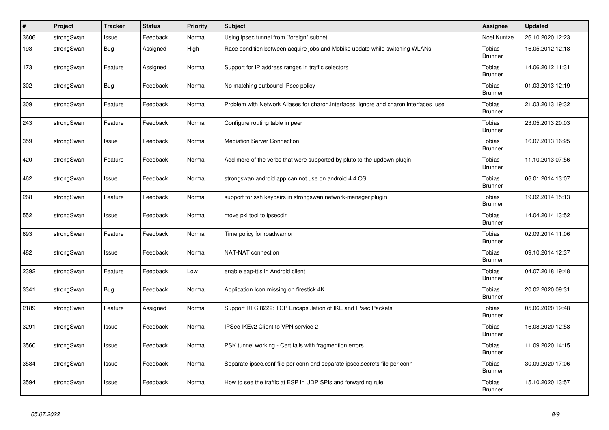| #    | Project    | <b>Tracker</b> | <b>Status</b> | Priority | <b>Subject</b>                                                                      | Assignee                        | <b>Updated</b>   |
|------|------------|----------------|---------------|----------|-------------------------------------------------------------------------------------|---------------------------------|------------------|
| 3606 | strongSwan | Issue          | Feedback      | Normal   | Using ipsec tunnel from "foreign" subnet                                            | Noel Kuntze                     | 26.10.2020 12:23 |
| 193  | strongSwan | <b>Bug</b>     | Assigned      | High     | Race condition between acquire jobs and Mobike update while switching WLANs         | <b>Tobias</b><br><b>Brunner</b> | 16.05.2012 12:18 |
| 173  | strongSwan | Feature        | Assigned      | Normal   | Support for IP address ranges in traffic selectors                                  | <b>Tobias</b><br><b>Brunner</b> | 14.06.2012 11:31 |
| 302  | strongSwan | Bug            | Feedback      | Normal   | No matching outbound IPsec policy                                                   | Tobias<br><b>Brunner</b>        | 01.03.2013 12:19 |
| 309  | strongSwan | Feature        | Feedback      | Normal   | Problem with Network Aliases for charon.interfaces ignore and charon.interfaces use | Tobias<br><b>Brunner</b>        | 21.03.2013 19:32 |
| 243  | strongSwan | Feature        | Feedback      | Normal   | Configure routing table in peer                                                     | Tobias<br><b>Brunner</b>        | 23.05.2013 20:03 |
| 359  | strongSwan | Issue          | Feedback      | Normal   | <b>Mediation Server Connection</b>                                                  | Tobias<br><b>Brunner</b>        | 16.07.2013 16:25 |
| 420  | strongSwan | Feature        | Feedback      | Normal   | Add more of the verbs that were supported by pluto to the updown plugin             | Tobias<br><b>Brunner</b>        | 11.10.2013 07:56 |
| 462  | strongSwan | Issue          | Feedback      | Normal   | strongswan android app can not use on android 4.4 OS                                | <b>Tobias</b><br><b>Brunner</b> | 06.01.2014 13:07 |
| 268  | strongSwan | Feature        | Feedback      | Normal   | support for ssh keypairs in strongswan network-manager plugin                       | Tobias<br><b>Brunner</b>        | 19.02.2014 15:13 |
| 552  | strongSwan | Issue          | Feedback      | Normal   | move pki tool to ipsecdir                                                           | Tobias<br><b>Brunner</b>        | 14.04.2014 13:52 |
| 693  | strongSwan | Feature        | Feedback      | Normal   | Time policy for roadwarrior                                                         | <b>Tobias</b><br><b>Brunner</b> | 02.09.2014 11:06 |
| 482  | strongSwan | Issue          | Feedback      | Normal   | NAT-NAT connection                                                                  | Tobias<br><b>Brunner</b>        | 09.10.2014 12:37 |
| 2392 | strongSwan | Feature        | Feedback      | Low      | enable eap-ttls in Android client                                                   | Tobias<br><b>Brunner</b>        | 04.07.2018 19:48 |
| 3341 | strongSwan | Bug            | Feedback      | Normal   | Application Icon missing on firestick 4K                                            | Tobias<br>Brunner               | 20.02.2020 09:31 |
| 2189 | strongSwan | Feature        | Assigned      | Normal   | Support RFC 8229: TCP Encapsulation of IKE and IPsec Packets                        | <b>Tobias</b><br><b>Brunner</b> | 05.06.2020 19:48 |
| 3291 | strongSwan | Issue          | Feedback      | Normal   | IPSec IKEv2 Client to VPN service 2                                                 | Tobias<br><b>Brunner</b>        | 16.08.2020 12:58 |
| 3560 | strongSwan | Issue          | Feedback      | Normal   | PSK tunnel working - Cert fails with fragmention errors                             | Tobias<br><b>Brunner</b>        | 11.09.2020 14:15 |
| 3584 | strongSwan | Issue          | Feedback      | Normal   | Separate ipsec.conf file per conn and separate ipsec.secrets file per conn          | Tobias<br><b>Brunner</b>        | 30.09.2020 17:06 |
| 3594 | strongSwan | Issue          | Feedback      | Normal   | How to see the traffic at ESP in UDP SPIs and forwarding rule                       | <b>Tobias</b><br><b>Brunner</b> | 15.10.2020 13:57 |